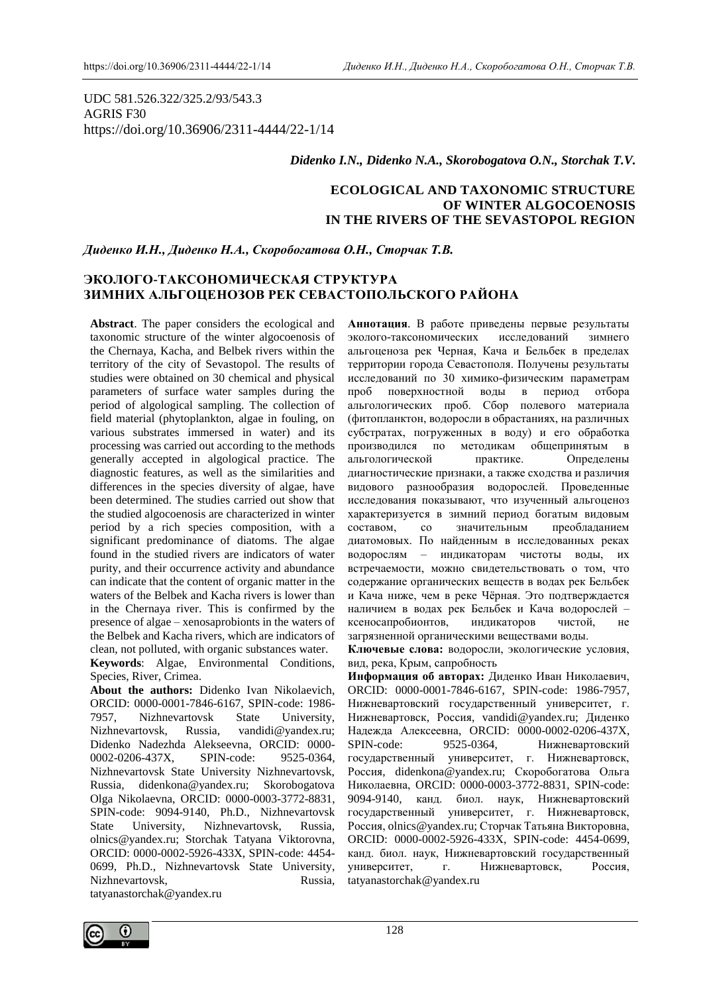UDC 581.526.322/325.2/93/543.3 AGRIS F30 https://doi.org/10.36906/2311-4444/22-1/14

#### *Didenko I.N., Didenko N.A., Skorobogatova O.N., Storchak T.V.*

# **ECOLOGICAL AND TAXONOMIC STRUCTURE OF WINTER ALGOCOENOSIS IN THE RIVERS OF THE SEVASTOPOL REGION**

*Диденко И.Н., Диденко Н.А., Скоробогатова О.Н., Сторчак Т.В.*

# **ЭКОЛОГО-ТАКСОНОМИЧЕСКАЯ СТРУКТУРА ЗИМНИХ АЛЬГОЦЕНОЗОВ РЕК СЕВАСТОПОЛЬСКОГО РАЙОНА**

**Abstract**. The paper considers the ecological and taxonomic structure of the winter algocoenosis of the Chernaya, Kacha, and Belbek rivers within the territory of the city of Sevastopol. The results of studies were obtained on 30 chemical and physical parameters of surface water samples during the period of algological sampling. The collection of field material (phytoplankton, algae in fouling, on various substrates immersed in water) and its processing was carried out according to the methods generally accepted in algological practice. The diagnostic features, as well as the similarities and differences in the species diversity of algae, have been determined. The studies carried out show that the studied algocoenosis are characterized in winter period by a rich species composition, with a significant predominance of diatoms. The algae found in the studied rivers are indicators of water purity, and their occurrence activity and abundance can indicate that the content of organic matter in the waters of the Belbek and Kacha rivers is lower than in the Chernaya river. This is confirmed by the presence of algae – xenosaprobionts in the waters of the Belbek and Kacha rivers, which are indicators of clean, not polluted, with organic substances water.

**Keywords**: Algae, Environmental Conditions, Species, River, Crimea.

**About the authors:** Didenko Ivan Nikolaevich, ORCID: 0000-0001-7846-6167, SPIN-code: 1986- 7957, Nizhnevartovsk State University, Nizhnevartovsk, Russia, vandidi@yandex.ru; Didenko Nadezhda Alekseevna, ORCID: 0000- 0002-0206-437X, SPIN-code: 9525-0364, Nizhnevartovsk State University Nizhnevartovsk, Russia, didenkona@yandex.ru; Skorobogatova Olga Nikolaevna, ORCID: 0000-0003-3772-8831, SPIN-code: 9094-9140, Ph.D., Nizhnevartovsk State University, Nizhnevartovsk, Russia, olnics@yandex.ru; Storchak Tatyana Viktorovna, ORCID: 0000-0002-5926-433X, SPIN-code: 4454- 0699, Ph.D., Nizhnevartovsk State University, Nizhnevartovsk, Russia, tatyanastorchak@yandex.ru

**Аннотация**. В работе приведены первые результаты эколого-таксономических исследований зимнего альгоценоза рек Черная, Кача и Бельбек в пределах территории города Севастополя. Получены результаты исследований по 30 химико-физическим параметрам проб поверхностной воды в период отбора альгологических проб. Сбор полевого материала (фитопланктон, водоросли в обрастаниях, на различных субстратах, погруженных в воду) и его обработка производился по методикам общепринятым в альгологической практике. Определены диагностические признаки, а также сходства и различия видового разнообразия водорослей. Проведенные исследования показывают, что изученный альгоценоз характеризуется в зимний период богатым видовым составом, со значительным преобладанием диатомовых. По найденным в исследованных реках водорослям – индикаторам чистоты воды, их встречаемости, можно свидетельствовать о том, что содержание органических веществ в водах рек Бельбек и Кача ниже, чем в реке Чёрная. Это подтверждается наличием в водах рек Бельбек и Кача водорослей – ксеносапробионтов, индикаторов чистой, не загрязненной органическими веществами воды.

**Ключевые слова:** водоросли, экологические условия, вид, река, Крым, сапробность

**Информация об авторах:** Диденко Иван Николаевич, ORCID: 0000-0001-7846-6167, SPIN-code: 1986-7957, Нижневартовский государственный университет, г. Нижневартовск, Россия, vandidi@yandex.ru; Диденко Надежда Алексеевна, ORCID: 0000-0002-0206-437X, SPIN-code: 9525-0364, Нижневартовский государственный университет, г. Нижневартовск, Россия, didenkona@yandex.ru; Скоробогатова Ольга Николаевна, ORCID: 0000-0003-3772-8831, SPIN-code: 9094-9140, канд. биол. наук, Нижневартовский государственный университет, г. Нижневартовск, Россия, olnics@yandex.ru; Сторчак Татьяна Викторовна, ORCID: 0000-0002-5926-433X, SPIN-code: 4454-0699, канд. биол. наук, Нижневартовский государственный университет, г. Нижневартовск, Россия, tatyanastorchak@yandex.ru

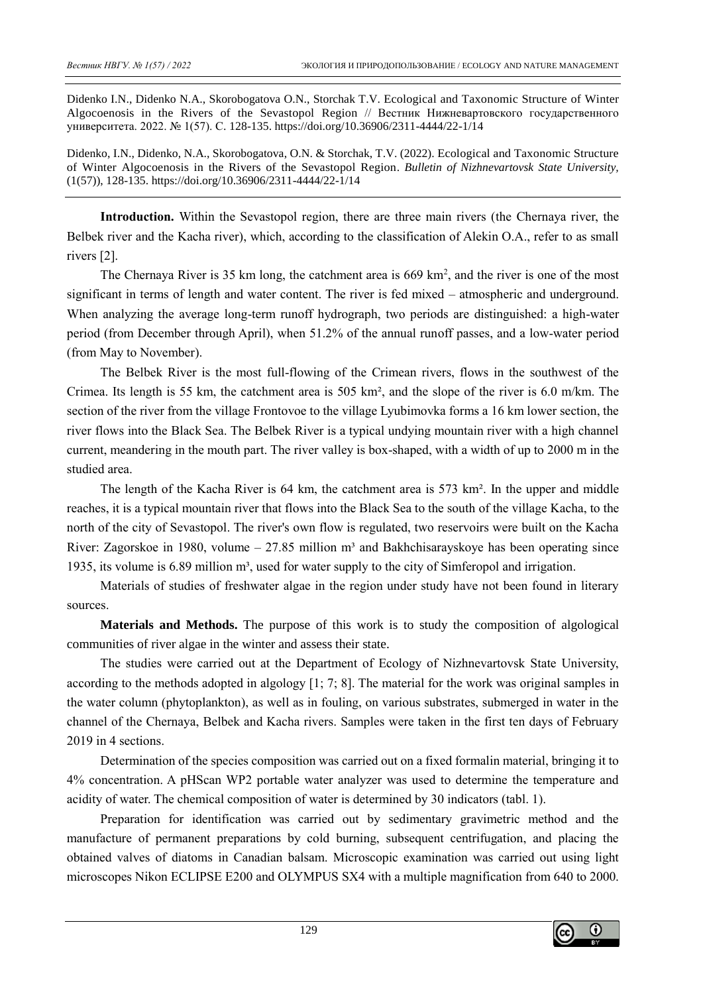Didenko I.N., Didenko N.A., Skorobogatova O.N., Storchak T.V. Ecological and Taxonomic Structure of Winter Algocoenosis in the Rivers of the Sevastopol Region // Вестник Нижневартовского государственного университета. 2022. № 1(57). С. 128-135. https://doi.org/10.36906/2311-4444/22-1/14

Didenko, I.N., Didenko, N.A., Skorobogatova, O.N. & Storchak, T.V. (2022). Ecological and Taxonomic Structure of Winter Algocoenosis in the Rivers of the Sevastopol Region. *Bulletin of Nizhnevartovsk State University,*  (1(57)), 128-135. https://doi.org/10.36906/2311-4444/22-1/14

**Introduction.** Within the Sevastopol region, there are three main rivers (the Chernaya river, the Belbek river and the Kacha river), which, according to the classification of Alekin O.A., refer to as small rivers [2].

The Chernaya River is 35 km long, the catchment area is  $669 \text{ km}^2$ , and the river is one of the most significant in terms of length and water content. The river is fed mixed – atmospheric and underground. When analyzing the average long-term runoff hydrograph, two periods are distinguished: a high-water period (from December through April), when 51.2% of the annual runoff passes, and a low-water period (from May to November).

The Belbek River is the most full-flowing of the Crimean rivers, flows in the southwest of the Crimea. Its length is 55 km, the catchment area is 505 km², and the slope of the river is 6.0 m/km. The section of the river from the village Frontovoe to the village Lyubimovka forms a 16 km lower section, the river flows into the Black Sea. The Belbek River is a typical undying mountain river with a high channel current, meandering in the mouth part. The river valley is box-shaped, with a width of up to 2000 m in the studied area.

The length of the Kacha River is 64 km, the catchment area is 573 km². In the upper and middle reaches, it is a typical mountain river that flows into the Black Sea to the south of the village Kacha, to the north of the city of Sevastopol. The river's own flow is regulated, two reservoirs were built on the Kacha River: Zagorskoe in 1980, volume – 27.85 million  $m<sup>3</sup>$  and Bakhchisarayskoye has been operating since 1935, its volume is 6.89 million  $m<sup>3</sup>$ , used for water supply to the city of Simferopol and irrigation.

Materials of studies of freshwater algae in the region under study have not been found in literary sources.

**Materials and Methods.** The purpose of this work is to study the composition of algological communities of river algae in the winter and assess their state.

The studies were carried out at the Department of Ecology of Nizhnevartovsk State University, according to the methods adopted in algology [1; 7; 8]. The material for the work was original samples in the water column (phytoplankton), as well as in fouling, on various substrates, submerged in water in the channel of the Chernaya, Belbek and Kacha rivers. Samples were taken in the first ten days of February 2019 in 4 sections.

Determination of the species composition was carried out on a fixed formalin material, bringing it to 4% concentration. A pHScan WP2 portable water analyzer was used to determine the temperature and acidity of water. The chemical composition of water is determined by 30 indicators (tabl. 1).

Preparation for identification was carried out by sedimentary gravimetric method and the manufacture of permanent preparations by cold burning, subsequent centrifugation, and placing the obtained valves of diatoms in Canadian balsam. Microscopic examination was carried out using light microscopes Nikon ECLIPSE E200 and OLYMPUS SX4 with a multiple magnification from 640 to 2000.

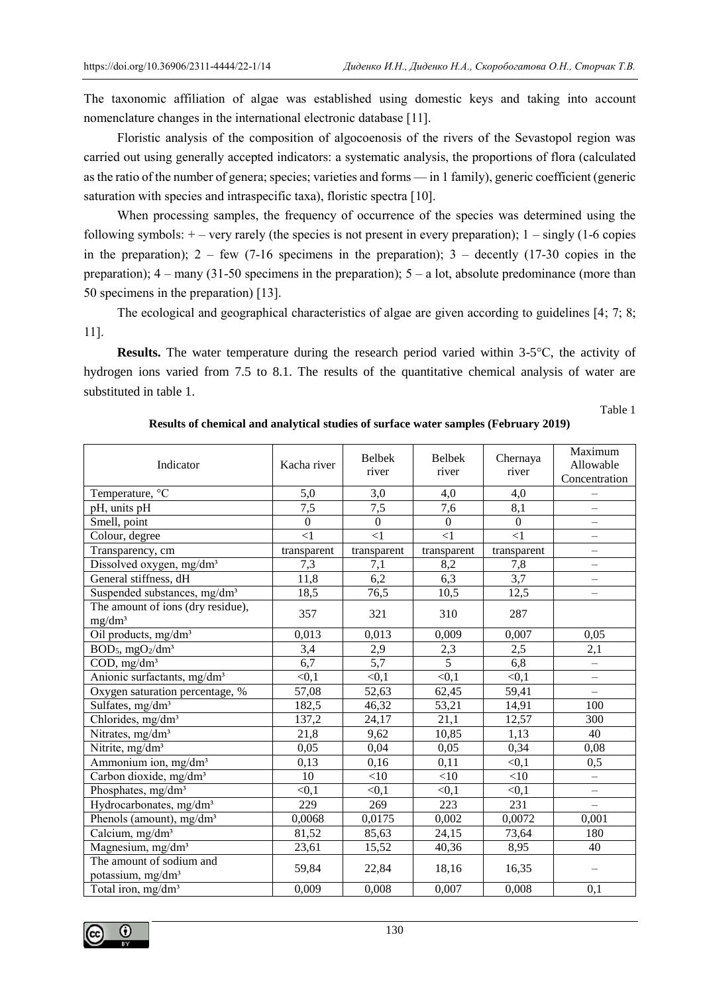The taxonomic affiliation of algae was established using domestic keys and taking into account nomenclature changes in the international electronic database [11].

Floristic analysis of the composition of algocoenosis of the rivers of the Sevastopol region was carried out using generally accepted indicators: a systematic analysis, the proportions of flora (calculated as the ratio of the number of genera; species; varieties and forms — in 1 family), generic coefficient (generic saturation with species and intraspecific taxa), floristic spectra [10].

When processing samples, the frequency of occurrence of the species was determined using the following symbols:  $+$  – very rarely (the species is not present in every preparation);  $1$  – singly (1-6 copies in the preparation);  $2 - few$  (7-16 specimens in the preparation);  $3 -$  decently (17-30 copies in the preparation);  $4 -$ many (31-50 specimens in the preparation);  $5 - a$  lot, absolute predominance (more than 50 specimens in the preparation) [13].

The ecological and geographical characteristics of algae are given according to guidelines [4; 7; 8; 11].

**Results.** The water temperature during the research period varied within 3-5°C, the activity of hydrogen ions varied from 7.5 to 8.1. The results of the quantitative chemical analysis of water are substituted in table 1.

Table 1

| Indicator                                               | Kacha river     | <b>Belbek</b><br>river | <b>Belbek</b><br>river | Chernaya<br>river | Maximum<br>Allowable<br>Concentration |
|---------------------------------------------------------|-----------------|------------------------|------------------------|-------------------|---------------------------------------|
| Temperature, °C                                         | 5,0             | 3,0                    | 4,0                    | 4,0               |                                       |
| pH, units pH                                            | 7,5             | 7,5                    | 7,6                    | 8,1               | $\overline{\phantom{0}}$              |
| Smell, point                                            | $\overline{0}$  | $\overline{0}$         | $\overline{0}$         | $\boldsymbol{0}$  | $\overline{\phantom{0}}$              |
| Colour, degree                                          | $\overline{<}1$ | $\overline{<}1$        | $\leq$ 1               | $\leq$ 1          | $\overline{\phantom{0}}$              |
| Transparency, cm                                        | transparent     | transparent            | transparent            | transparent       | $\overline{\phantom{0}}$              |
| Dissolved oxygen, mg/dm <sup>3</sup>                    | 7,3             | 7,1                    | 8,2                    | 7,8               | $\overline{\phantom{0}}$              |
| General stiffness, dH                                   | 11,8            | 6,2                    | 6,3                    | 3,7               |                                       |
| Suspended substances, mg/dm <sup>3</sup>                | 18,5            | 76,5                   | 10,5                   | 12,5              | $\overline{\phantom{0}}$              |
| The amount of ions (dry residue),<br>mg/dm <sup>3</sup> | 357             | 321                    | 310                    | 287               |                                       |
| Oil products, mg/dm <sup>3</sup>                        | 0,013           | 0,013                  | 0,009                  | 0,007             | 0,05                                  |
| $BOD_5$ , mgO <sub>2</sub> /dm <sup>3</sup>             | 3,4             | 2,9                    | 2,3                    | 2,5               | 2,1                                   |
| COD, mg/dm <sup>3</sup>                                 | 6,7             | $\overline{5,7}$       | $\overline{5}$         | 6,8               | $\qquad \qquad -$                     |
| Anionic surfactants, mg/dm <sup>3</sup>                 | < 0, 1          | < 0, 1                 | < 0, 1                 | < 0, 1            | $\equiv$                              |
| Oxygen saturation percentage, %                         | 57,08           | 52,63                  | 62,45                  | 59,41             | $\equiv$                              |
| Sulfates, mg/dm <sup>3</sup>                            | 182,5           | 46,32                  | 53,21                  | 14,91             | 100                                   |
| Chlorides, mg/dm <sup>3</sup>                           | 137,2           | 24,17                  | 21,1                   | 12,57             | 300                                   |
| Nitrates, mg/dm <sup>3</sup>                            | 21,8            | 9,62                   | 10,85                  | 1,13              | 40                                    |
| Nitrite, mg/dm <sup>3</sup>                             | 0,05            | 0,04                   | 0,05                   | 0,34              | 0,08                                  |
| Ammonium ion, mg/dm <sup>3</sup>                        | 0,13            | 0,16                   | 0,11                   | < 0, 1            | 0,5                                   |
| Carbon dioxide, mg/dm <sup>3</sup>                      | 10              | $<$ 10                 | $<$ 10                 | <10               | $\qquad \qquad -$                     |
| Phosphates, mg/dm <sup>3</sup>                          | < 0, 1          | < 0.1                  | < 0, 1                 | < 0.1             | $\overline{\phantom{0}}$              |
| Hydrocarbonates, mg/dm <sup>3</sup>                     | 229             | 269                    | $\overline{223}$       | 231               | $\equiv$                              |
| Phenols (amount), mg/dm <sup>3</sup>                    | 0,0068          | 0,0175                 | 0,002                  | 0,0072            | 0,001                                 |
| Calcium, mg/dm <sup>3</sup>                             | 81,52           | 85,63                  | 24,15                  | 73,64             | 180                                   |
| Magnesium, mg/dm <sup>3</sup>                           | 23,61           | 15,52                  | 40,36                  | 8,95              | 40                                    |
| The amount of sodium and<br>potassium, mg/dm3           | 59,84           | 22,84                  | 18,16                  | 16,35             |                                       |
| Total iron, mg/dm <sup>3</sup>                          | 0,009           | 0,008                  | 0,007                  | 0,008             | 0,1                                   |

#### **Results of chemical and analytical studies of surface water samples (February 2019)**

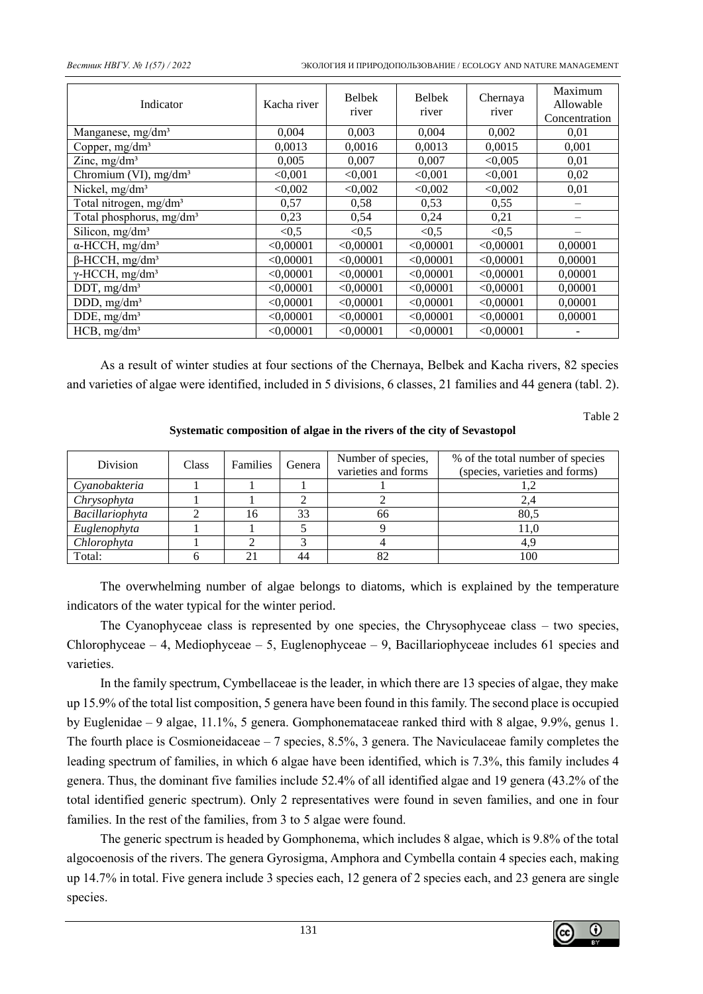| Indicator                            | Kacha river | <b>Belbek</b><br>river | <b>Belbek</b><br>river | Chernaya<br>river | Maximum<br>Allowable<br>Concentration |
|--------------------------------------|-------------|------------------------|------------------------|-------------------|---------------------------------------|
| Manganese, mg/dm <sup>3</sup>        | 0,004       | 0,003                  | 0,004                  | 0,002             | 0,01                                  |
| Copper, $mg/dm3$                     | 0,0013      | 0,0016                 | 0,0013                 | 0,0015            | 0,001                                 |
| Zinc, $mg/dm3$                       | 0,005       | 0,007                  | 0,007                  | < 0,005           | 0,01                                  |
| Chromium (VI), $mg/dm3$              | < 0,001     | < 0.001                | < 0,001                | < 0,001           | 0,02                                  |
| Nickel, mg/dm <sup>3</sup>           | < 0.002     | < 0.002                | < 0.002                | < 0.002           | 0,01                                  |
| Total nitrogen, mg/dm <sup>3</sup>   | 0,57        | 0,58                   | 0,53                   | 0,55              |                                       |
| Total phosphorus, mg/dm <sup>3</sup> | 0,23        | 0,54                   | 0,24                   | 0,21              |                                       |
| Silicon, mg/dm <sup>3</sup>          | < 0.5       | < 0, 5                 | < 0, 5                 | < 0.5             |                                       |
| $\alpha$ -HCCH, mg/dm <sup>3</sup>   | < 0,00001   | < 0,00001              | < 0,00001              | < 0,00001         | 0,00001                               |
| $\beta$ -HCCH, mg/dm <sup>3</sup>    | < 0,00001   | < 0,00001              | < 0,00001              | < 0,00001         | 0,00001                               |
| $\gamma$ -HCCH, mg/dm <sup>3</sup>   | < 0.00001   | < 0.00001              | < 0.00001              | < 0,00001         | 0,00001                               |
| DDT, $mg/dm3$                        | < 0.00001   | < 0.00001              | < 0,00001              | < 0,00001         | 0,00001                               |
| DDD, $mg/dm3$                        | < 0,00001   | < 0.00001              | < 0,00001              | < 0,00001         | 0,00001                               |
| DDE, $mg/dm3$                        | < 0,00001   | < 0,00001              | < 0,00001              | < 0,00001         | 0,00001                               |
| $HCB$ , mg/dm <sup>3</sup>           | < 0,00001   | < 0,00001              | < 0,00001              | < 0,00001         |                                       |

As a result of winter studies at four sections of the Chernaya, Belbek and Kacha rivers, 82 species and varieties of algae were identified, included in 5 divisions, 6 classes, 21 families and 44 genera (tabl. 2).

Table 2

**Systematic composition of algae in the rivers of the city of Sevastopol**

| Division        | <b>Class</b> | <b>Families</b> | Genera | Number of species,<br>varieties and forms | % of the total number of species<br>(species, varieties and forms) |
|-----------------|--------------|-----------------|--------|-------------------------------------------|--------------------------------------------------------------------|
| Cyanobakteria   |              |                 |        |                                           |                                                                    |
| Chrysophyta     |              |                 |        |                                           | 2,4                                                                |
| Bacillariophyta |              | 16              | 33     | 66                                        | 80.5                                                               |
| Euglenophyta    |              |                 |        |                                           | 11.0                                                               |
| Chlorophyta     |              |                 |        |                                           | 4.9                                                                |
| Total:          |              |                 | 44     |                                           | 100                                                                |

The overwhelming number of algae belongs to diatoms, which is explained by the temperature indicators of the water typical for the winter period.

The Cyanophyceae class is represented by one species, the Chrysophyceae class – two species, Chlorophyceae – 4, Mediophyceae – 5, Euglenophyceae – 9, Bacillariophyceae includes 61 species and varieties.

In the family spectrum, Cymbellaceae is the leader, in which there are 13 species of algae, they make up 15.9% of the total list composition, 5 genera have been found in this family. The second place is occupied by Euglenidae – 9 algae, 11.1%, 5 genera. Gomphonemataceae ranked third with 8 algae, 9.9%, genus 1. The fourth place is Cosmioneidaceae – 7 species, 8.5%, 3 genera. The Naviculaceae family completes the leading spectrum of families, in which 6 algae have been identified, which is 7.3%, this family includes 4 genera. Thus, the dominant five families include 52.4% of all identified algae and 19 genera (43.2% of the total identified generic spectrum). Only 2 representatives were found in seven families, and one in four families. In the rest of the families, from 3 to 5 algae were found.

The generic spectrum is headed by Gomphonema, which includes 8 algae, which is 9.8% of the total algocoenosis of the rivers. The genera Gyrosigma, Amphora and Cymbella contain 4 species each, making up 14.7% in total. Five genera include 3 species each, 12 genera of 2 species each, and 23 genera are single species.

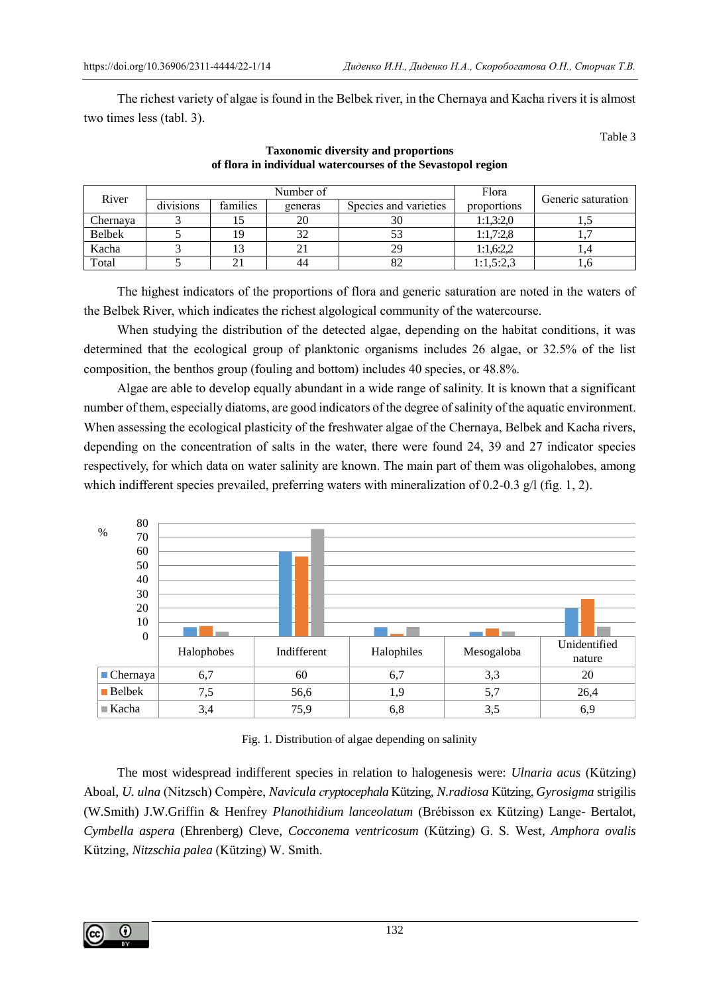The richest variety of algae is found in the Belbek river, in the Chernaya and Kacha rivers it is almost two times less (tabl. 3).

Table 3

| River         |           |          | Number of | Flora                 | Generic saturation |       |
|---------------|-----------|----------|-----------|-----------------------|--------------------|-------|
|               | divisions | families | generas   | Species and varieties | proportions        |       |
| Chernava      |           |          |           | 30                    | 1:1,3:2,0          | ر., 1 |
| <b>Belbek</b> |           |          |           |                       | 1:1.7:2.8          |       |
| Kacha         |           |          |           | 29                    | 1:1,6:2,2          |       |
| Total         |           |          | 44        | 82                    | 1:1,5:2,3          | U.U   |

## **Taxonomic diversity and proportions of flora in individual watercourses of the Sevastopol region**

The highest indicators of the proportions of flora and generic saturation are noted in the waters of the Belbek River, which indicates the richest algological community of the watercourse.

When studying the distribution of the detected algae, depending on the habitat conditions, it was determined that the ecological group of planktonic organisms includes 26 algae, or 32.5% of the list composition, the benthos group (fouling and bottom) includes 40 species, or 48.8%.

Algae are able to develop equally abundant in a wide range of salinity. It is known that a significant number of them, especially diatoms, are good indicators of the degree of salinity of the aquatic environment. When assessing the ecological plasticity of the freshwater algae of the Chernaya, Belbek and Kacha rivers, depending on the concentration of salts in the water, there were found 24, 39 and 27 indicator species respectively, for which data on water salinity are known. The main part of them was oligohalobes, among which indifferent species prevailed, preferring waters with mineralization of 0.2-0.3  $g/$  (fig. 1, 2).



Fig. 1. Distribution of algae depending on salinity

The most widespread indifferent species in relation to halogenesis were: *Ulnaria acus* (Kützing) Aboal, *U. ulna* (Nitzsch) Compère, *Navicula сryptocephala* Kützing*, N.radiosa* Kützing, *Gyrosigma* strigilis (W.Smith) J.W.Griffin & Henfrey *Planothidium lanceolatum* (Brébisson ex Kützing) Lange- Bertalot, *Cymbella aspera* (Ehrenberg) Cleve, *Cocconema ventricosum* (Kützing) G. S. West*, Amphora ovalis* Kützing, *Nitzschia palea* (Kützing) W. Smith.

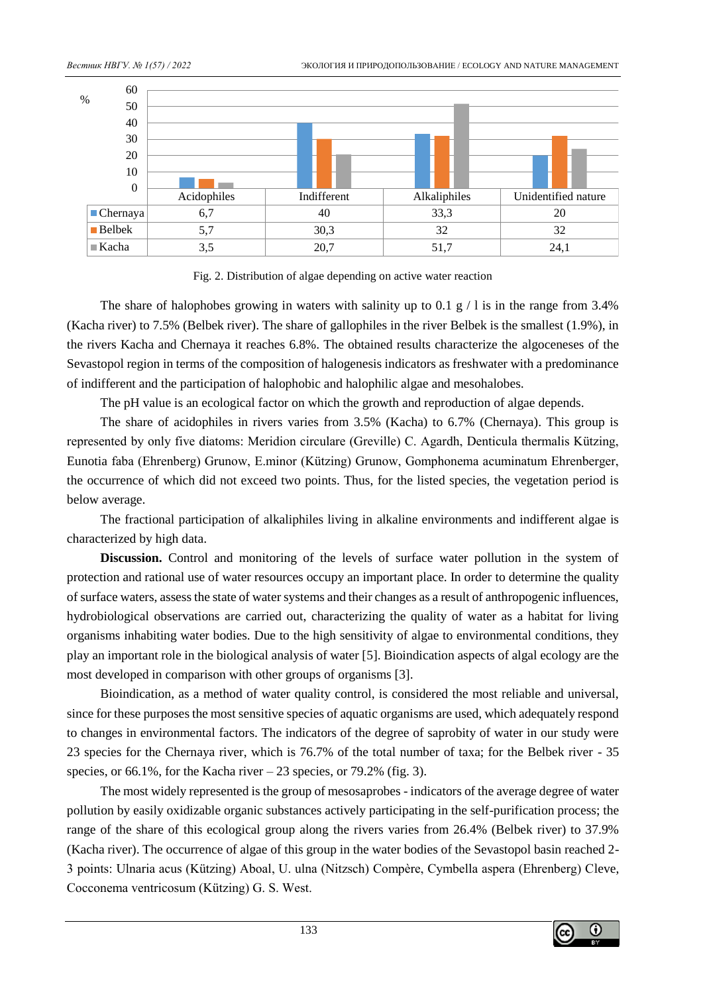

Fig. 2. Distribution of algae depending on active water reaction

The share of halophobes growing in waters with salinity up to 0.1 g  $/1$  is in the range from 3.4% (Kacha river) to 7.5% (Belbek river). The share of gallophiles in the river Belbek is the smallest (1.9%), in the rivers Kacha and Chernaya it reaches 6.8%. The obtained results characterize the algoceneses of the Sevastopol region in terms of the composition of halogenesis indicators as freshwater with a predominance of indifferent and the participation of halophobic and halophilic algae and mesohalobes.

The pH value is an ecological factor on which the growth and reproduction of algae depends.

The share of acidophiles in rivers varies from 3.5% (Kacha) to 6.7% (Chernaya). This group is represented by only five diatoms: Meridion circulare (Greville) C. Agardh, Denticula thermalis Kützing, Eunotia faba (Ehrenberg) Grunow, E.minor (Kützing) Grunow, Gomphonema acuminatum Ehrenberger, the occurrence of which did not exceed two points. Thus, for the listed species, the vegetation period is below average.

The fractional participation of alkaliphiles living in alkaline environments and indifferent algae is characterized by high data.

**Discussion.** Control and monitoring of the levels of surface water pollution in the system of protection and rational use of water resources occupy an important place. In order to determine the quality of surface waters, assess the state of water systems and their changes as a result of anthropogenic influences, hydrobiological observations are carried out, characterizing the quality of water as a habitat for living organisms inhabiting water bodies. Due to the high sensitivity of algae to environmental conditions, they play an important role in the biological analysis of water [5]. Bioindication aspects of algal ecology are the most developed in comparison with other groups of organisms [3].

Bioindication, as a method of water quality control, is considered the most reliable and universal, since for these purposes the most sensitive species of aquatic organisms are used, which adequately respond to changes in environmental factors. The indicators of the degree of saprobity of water in our study were 23 species for the Chernaya river, which is 76.7% of the total number of taxa; for the Belbek river - 35 species, or 66.1%, for the Kacha river  $-23$  species, or 79.2% (fig. 3).

The most widely represented is the group of mesosaprobes - indicators of the average degree of water pollution by easily oxidizable organic substances actively participating in the self-purification process; the range of the share of this ecological group along the rivers varies from 26.4% (Belbek river) to 37.9% (Kacha river). The occurrence of algae of this group in the water bodies of the Sevastopol basin reached 2- 3 points: Ulnaria acus (Kützing) Aboal, U. ulna (Nitzsch) Compère, Cymbella aspera (Ehrenberg) Cleve, Cocconema ventricosum (Kützing) G. S. West.

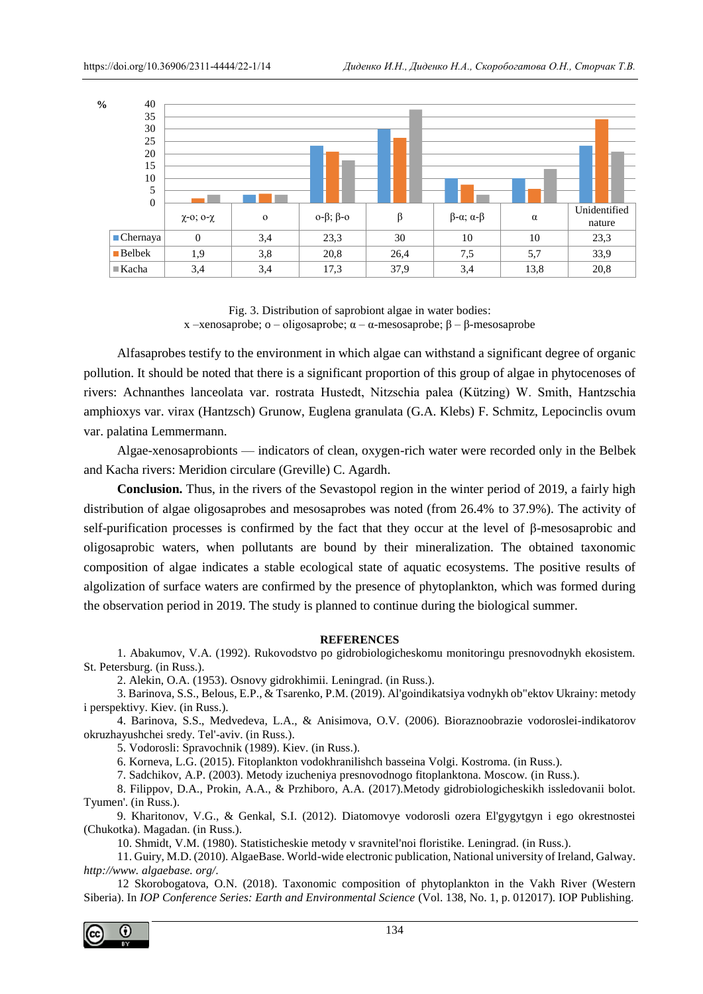

Fig. 3. Distribution of saprobiont algae in water bodies: х –xenosaprobe; o – oligosaprobe; α – [α-mesosaprobe;](https://www.multitran.com/m.exe?s=mesosaprobe&l1=1&l2=2) β – β-mesosaprobe

Alfasaprobes testify to the environment in which algae can withstand a significant degree of organic pollution. It should be noted that there is a significant proportion of this group of algae in phytocenoses of rivers: Achnanthes lanceolata var. rostrata Hustedt, Nitzschia palea (Kützing) W. Smith, Hantzschia amphioxys var. virax (Hantzsch) Grunow, Euglena granulata (G.A. Klebs) F. Schmitz, Lepocinclis ovum var. palatina Lemmermann.

Algae-xenosaprobionts — indicators of clean, oxygen-rich water were recorded only in the Belbek and Kacha rivers: Meridion circulare (Greville) C. Agardh.

**Conclusion.** Thus, in the rivers of the Sevastopol region in the winter period of 2019, a fairly high distribution of algae oligosaprobes and mesosaprobes was noted (from 26.4% to 37.9%). The activity of self-purification processes is confirmed by the fact that they occur at the level of β-mesosaprobic and oligosaprobic waters, when pollutants are bound by their mineralization. The obtained taxonomic composition of algae indicates a stable ecological state of aquatic ecosystems. The positive results of algolization of surface waters are confirmed by the presence of phytoplankton, which was formed during the observation period in 2019. The study is planned to continue during the biological summer.

### **REFERENCES**

1. Abakumov, V.A. (1992). Rukovodstvo po gidrobiologicheskomu monitoringu presnovodnykh ekosistem. St. Petersburg. (in Russ.).

2. Alekin, O.A. (1953). Osnovy gidrokhimii. Leningrad. (in Russ.).

3. Barinova, S.S., Belous, E.P., & Tsarenko, P.M. (2019). Al'goindikatsiya vodnykh ob"ektov Ukrainy: metody i perspektivy. Kiev. (in Russ.).

4. Barinova, S.S., Medvedeva, L.A., & Anisimova, O.V. (2006). Bioraznoobrazie vodoroslei-indikatorov okruzhayushchei sredy. Tel'-aviv. (in Russ.).

5. Vodorosli: Spravochnik (1989). Kiev. (in Russ.).

6. Korneva, L.G. (2015). Fitoplankton vodokhranilishch basseina Volgi. Kostroma. (in Russ.).

7. Sadchikov, A.P. (2003). Metody izucheniya presnovodnogo fitoplanktona. Moscow. (in Russ.).

8. Filippov, D.A., Prokin, A.A., & Przhiboro, A.A. (2017).Metody gidrobiologicheskikh issledovanii bolot. Tyumen'. (in Russ.).

9. Kharitonov, V.G., & Genkal, S.I. (2012). Diatomovye vodorosli ozera El'gygytgyn i ego okrestnostei (Chukotka). Magadan. (in Russ.).

10. Shmidt, V.M. (1980). Statisticheskie metody v sravnitel'noi floristike. Leningrad. (in Russ.).

11. Guiry, M.D. (2010). AlgaeBase. World-wide electronic publication, National university of Ireland, Galway. *http://www. algaebase. org/*.

12 Skorobogatova, O.N. (2018). Taxonomic composition of phytoplankton in the Vakh River (Western Siberia). In *IOP Conference Series: Earth and Environmental Science* (Vol. 138, No. 1, p. 012017). IOP Publishing.